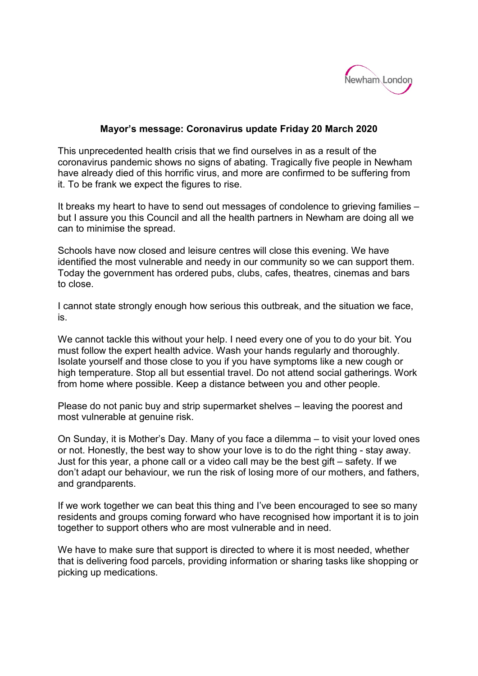

## **Mayor's message: Coronavirus update Friday 20 March 2020**

This unprecedented health crisis that we find ourselves in as a result of the coronavirus pandemic shows no signs of abating. Tragically five people in Newham have already died of this horrific virus, and more are confirmed to be suffering from it. To be frank we expect the figures to rise.

It breaks my heart to have to send out messages of condolence to grieving families – but I assure you this Council and all the health partners in Newham are doing all we can to minimise the spread.

Schools have now closed and leisure centres will close this evening. We have identified the most vulnerable and needy in our community so we can support them. Today the government has ordered pubs, clubs, cafes, theatres, cinemas and bars to close.

I cannot state strongly enough how serious this outbreak, and the situation we face, is.

We cannot tackle this without your help. I need every one of you to do your bit. You must follow the expert health advice. Wash your hands regularly and thoroughly. Isolate yourself and those close to you if you have symptoms like a new cough or high temperature. Stop all but essential travel. Do not attend social gatherings. Work from home where possible. Keep a distance between you and other people.

Please do not panic buy and strip supermarket shelves – leaving the poorest and most vulnerable at genuine risk.

On Sunday, it is Mother's Day. Many of you face a dilemma – to visit your loved ones or not. Honestly, the best way to show your love is to do the right thing - stay away. Just for this year, a phone call or a video call may be the best gift – safety. If we don't adapt our behaviour, we run the risk of losing more of our mothers, and fathers, and grandparents.

If we work together we can beat this thing and I've been encouraged to see so many residents and groups coming forward who have recognised how important it is to join together to support others who are most vulnerable and in need.

We have to make sure that support is directed to where it is most needed, whether that is delivering food parcels, providing information or sharing tasks like shopping or picking up medications.